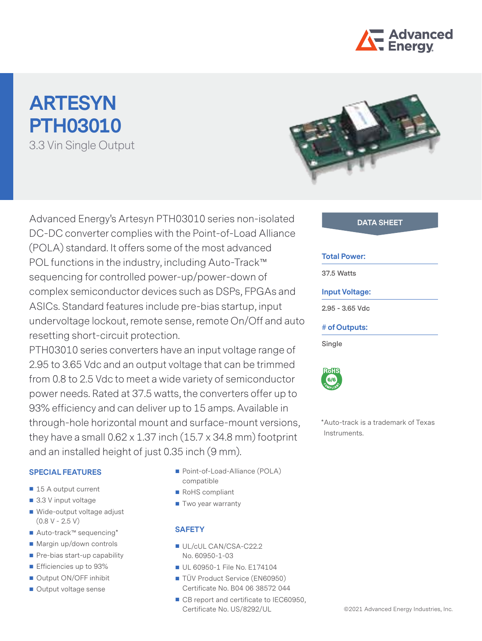

# **ARTESYN PTH03010** 3.3 Vin Single Output



Advanced Energy's Artesyn PTH03010 series non-isolated **DATA SHEET** DC-DC converter complies with the Point-of-Load Alliance (POLA) standard. It offers some of the most advanced POL functions in the industry, including Auto-Track™ sequencing for controlled power-up/power-down of complex semiconductor devices such as DSPs, FPGAs and ASICs. Standard features include pre-bias startup, input undervoltage lockout, remote sense, remote On/Off and auto resetting short-circuit protection.

PTH03010 series converters have an input voltage range of 2.95 to 3.65 Vdc and an output voltage that can be trimmed from 0.8 to 2.5 Vdc to meet a wide variety of semiconductor power needs. Rated at 37.5 watts, the converters offer up to 93% efficiency and can deliver up to 15 amps. Available in through-hole horizontal mount and surface-mount versions, they have a small  $0.62 \times 1.37$  inch  $(15.7 \times 34.8 \text{ mm})$  footprint and an installed height of just 0.35 inch (9 mm).

## **SPECIAL FEATURES**

- 15 A output current
- 3.3 V input voltage
- Wide-output voltage adjust  $(0.8 V - 2.5 V)$
- Auto-track™ sequencing\*
- Margin up/down controls
- Pre-bias start-up capability
- **Efficiencies up to 93%**
- Output ON/OFF inhibit
- Output voltage sense
- Point-of-Load-Alliance (POLA) compatible
- RoHS compliant
- Two year warranty

## **SAFETY**

- UL/cUL CAN/CSA-C22.2 No. 60950-1-03
- UL 60950-1 File No. E174104
- TÜV Product Service (EN60950) Certificate No. B04 06 38572 044
- CB report and certificate to IEC60950, Certificate No. US/8292/UL

| -------             |  |
|---------------------|--|
|                     |  |
|                     |  |
| <b>Total Power:</b> |  |
| 37.5 Watts          |  |

#### **Input Voltage:**

**2.95 - 3.65 Vdc**

## **# of Outputs:**

**Single**



\*Auto-track is a trademark of Texas Instruments.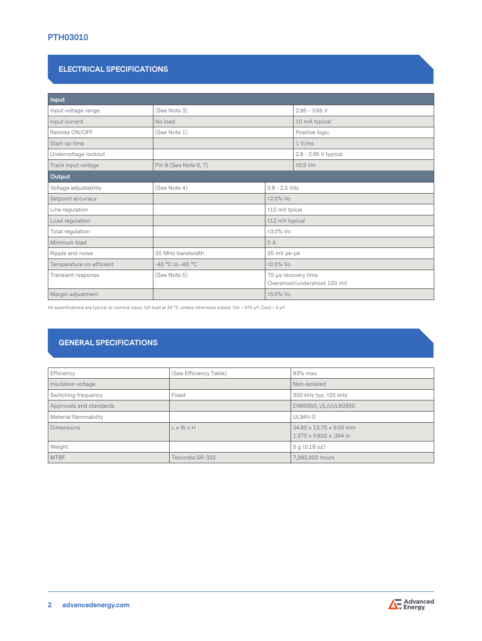# **PTH03010**

# **ELECTRICAL SPECIFICATIONS**

| Input                    |                       |                                                    |                      |  |
|--------------------------|-----------------------|----------------------------------------------------|----------------------|--|
| Input voltage range      | (See Note 3)          |                                                    | $2.95 - 3.65$ V      |  |
| Input current            | No load               |                                                    | 10 mA typical        |  |
| Remote ON/OFF            | (See Note 1)          |                                                    | Positive logic       |  |
| Start-up time            |                       |                                                    | 1 V/ms               |  |
| Undervoltage lockout     |                       |                                                    | 2.8 - 2.95 V typical |  |
| Track input voltage      | Pin 8 (See Note 6, 7) |                                                    | $±0.3$ Vin           |  |
| Output                   |                       |                                                    |                      |  |
| Voltage adjustability    | (See Note 4)          | $0.8 - 2.5$ Vdc                                    |                      |  |
| Setpoint accuracy        | ±2.0% Vo              |                                                    |                      |  |
| Line regulation          | ±10 mV tpical         |                                                    |                      |  |
| Load regulation          | ±12 mV typical        |                                                    |                      |  |
| Total regulation         |                       | ±3.0% Vo                                           |                      |  |
| Minimum load             |                       | 0A                                                 |                      |  |
| Ripple and noise         | 20 MHz bandwidth      | 20 mV pk-pk                                        |                      |  |
| Temperature co-efficient | -40 °C to +85 °C      | ±0.5% Vo                                           |                      |  |
| Transient response       | (See Note 5)          | 70 µs recovery time<br>Overshoot/undershoot 100 mV |                      |  |
| Margin adjustment        |                       | ±5.0% Vo                                           |                      |  |

All specifications are typical at nominal input, full load at 25 °C unless otherwise stated. Cin = 470 μF, Cout = 0 μF.

# **GENERAL SPECIFICATIONS**

| Efficiency              | (See Efficiency Table) | 93% max.                                           |
|-------------------------|------------------------|----------------------------------------------------|
| Insulation voltage      |                        | Non-isolated                                       |
| Switching frequency     | Fixed                  | 300 kHz typ. ±25 kHz                               |
| Approvals and standards |                        | EN60950, UL/cUL60950                               |
| Material flammability   |                        | <b>UL94V-0</b>                                     |
| <b>Dimensions</b>       | L x W x H              | 34.80 x 15.75 x 9.00 mm<br>1.370 x 0.620 x .354 in |
| Weight                  |                        | 5 g (0.18 oz)                                      |
| <b>MTBF</b>             | Telcordia SR-332       | 7,092,000 hours                                    |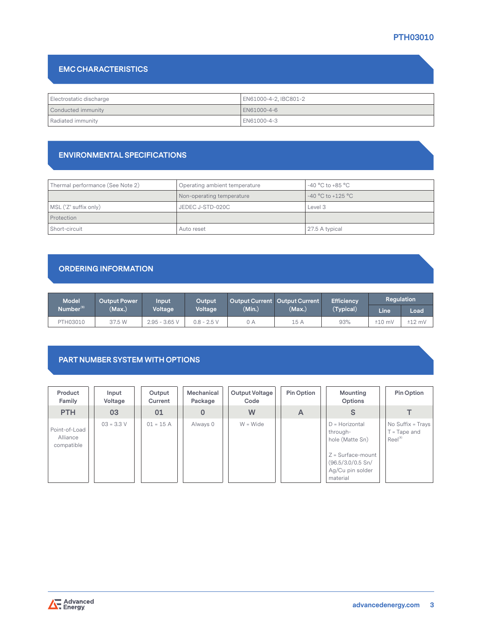# **PTH03010**

# **EMC CHARACTERISTICS**

| Electrostatic discharge | EN61000-4-2, IBC801-2 |  |  |
|-------------------------|-----------------------|--|--|
| Conducted immunity      | EN61000-4-6           |  |  |
| Radiated immunity       | EN61000-4-3           |  |  |

## **ENVIRONMENTAL SPECIFICATIONS**

| Thermal performance (See Note 2) | Operating ambient temperature | $-40\,^{\circ}\mathrm{C}$ to $+85\,^{\circ}\mathrm{C}$ |
|----------------------------------|-------------------------------|--------------------------------------------------------|
|                                  | Non-operating temperature     | $-40 °C$ to $+125 °C$                                  |
| MSL ('Z' suffix only)            | JEDEC J-STD-020C              | Level 3                                                |
| Protection                       |                               |                                                        |
| Short-circuit                    | Auto reset                    | 27.5 A typical                                         |

# **ORDERING INFORMATION**

| <b>Model</b>          | <b>Output Power</b> | lnput <sup>'</sup> | Output        |        | Output Current Output Current | <b>Efficiency</b> | <b>Regulation</b> |          |
|-----------------------|---------------------|--------------------|---------------|--------|-------------------------------|-------------------|-------------------|----------|
| Number <sup>(9)</sup> | (Max.)              | Voltage            | Voltage       | (Min.) | (Max.)                        | (Typical)         | <b>Line</b>       | Load     |
| PTH03010              | 37.5 W              | $2.95 - 3.65$ V    | $0.8 - 2.5$ V | 0 A    | 15 A                          | 93%               | $±10$ mV          | $±12$ mV |

# **PART NUMBER SYSTEM WITH OPTIONS**

| Product<br>Family                       | Input<br>Voltage | Output<br>Current | Mechanical<br>Package | Output Voltage<br>Code | <b>Pin Option</b> | Mounting<br><b>Options</b>                                                                                                   | Pin Option                                                 |
|-----------------------------------------|------------------|-------------------|-----------------------|------------------------|-------------------|------------------------------------------------------------------------------------------------------------------------------|------------------------------------------------------------|
| <b>PTH</b>                              | 03               | 01                | 0                     | W                      | A                 | S                                                                                                                            |                                                            |
| Point-of-Load<br>Alliance<br>compatible | $03 = 3.3 V$     | $01 = 15 A$       | Always 0              | $W = Wide$             |                   | $D =$ Horizontal<br>through-<br>hole (Matte Sn)<br>$Z = Surface$ -mount<br>(96.5/3.0/0.5 Sn/<br>Ag/Cu pin solder<br>material | No Suffix = Trays<br>$T = \text{Tape}$ and<br>$Reel^{(8)}$ |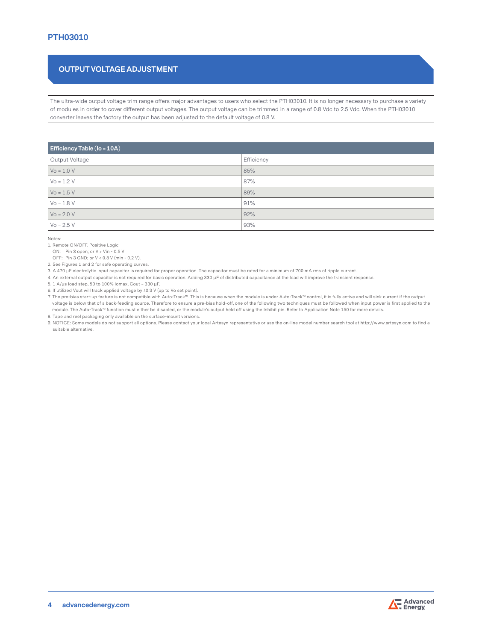# **OUTPUT VOLTAGE ADJUSTMENT**

The ultra-wide output voltage trim range offers major advantages to users who select the PTH03010. It is no longer necessary to purchase a variety of modules in order to cover different output voltages. The output voltage can be trimmed in a range of 0.8 Vdc to 2.5 Vdc. When the PTH03010 converter leaves the factory the output has been adjusted to the default voltage of 0.8 V.

| Efficiency Table (Io = 10A) |            |  |  |  |  |
|-----------------------------|------------|--|--|--|--|
| Output Voltage              | Efficiency |  |  |  |  |
| $V_0 = 1.0 V$               | 85%        |  |  |  |  |
| $V_0 = 1.2 V$               | 87%        |  |  |  |  |
| $V_0 = 1.5 V$               | 89%        |  |  |  |  |
| $Vo = 1.8 V$                | 91%        |  |  |  |  |
| $V_0 = 2.0 V$               | 92%        |  |  |  |  |
| $Vo = 2.5 V$                | 93%        |  |  |  |  |

Notes:

1. Remote ON/OFF. Positive Logic

ON: Pin 3 open; or V > Vin - 0.5 V

OFF: Pin 3 GND; or V < 0.8 V (min - 0.2 V).

2. See Figures 1 and 2 for safe operating curves.

3. A 470 μF electrolytic input capacitor is required for proper operation. The capacitor must be rated for a minimum of 700 mA rms of ripple current.

4. An external output capacitor is not required for basic operation. Adding 330 μF of distributed capacitance at the load will improve the transient response.

5. 1 A/μs load step, 50 to 100% Iomax, Cout = 330 μF.

6. If utilized Vout will track applied voltage by ±0.3 V (up to Vo set point).

7. The pre-bias start-up feature is not compatible with Auto-Track™. This is because when the module is under Auto-Track™ control, it is fully active and will sink current if the output voltage is below that of a back-feeding source. Therefore to ensure a pre-bias hold-off, one of the following two techniques must be followed when input power is first applied to the module. The Auto-Track™ function must either be disabled, or the module's output held off using the Inhibit pin. Refer to Application Note 150 for more details. 8. Tape and reel packaging only available on the surface-mount versions.

9. NOTICE: Some models do not support all options. Please contact your local Artesyn representative or use the on-line model number search tool at http://www.artesyn.com to find a suitable alternative.

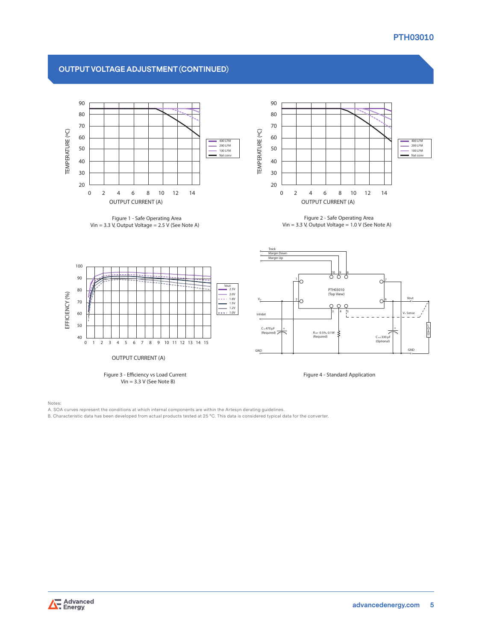# **PTH03010**

# **OUTPUT VOLTAGE ADJUSTMENT (CONTINUED)**



**Figure 1 - Safe Operating Area Vin = 3.3 V, Output Voltage = 2.5 V (See Note A)**



**Figure 2 - Safe Operating Area**  $V$ in = 3.3 *V*, Output *Voltage* = 1.0  $\overline{V}$  (See Note A)



Notes:

A. SOA curves represent the conditions at which internal components are within the Artesyn derating guidelines.

B. Characteristic data has been developed from actual products tested at 25 °C. This data is considered typical data for the converter.

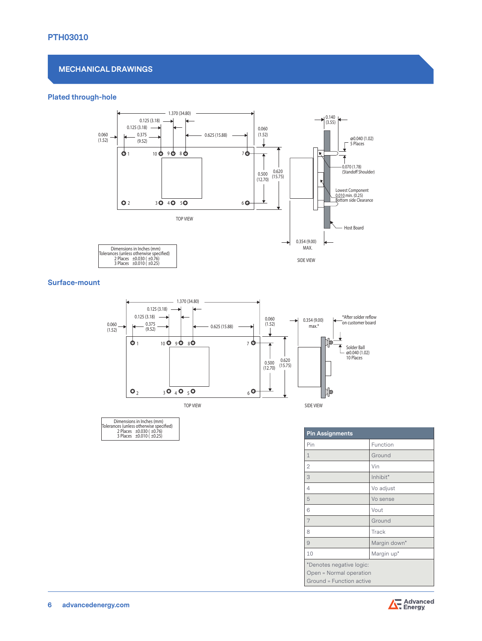# **MECHANICAL DRAWINGS**

0.125 (3.18)

#### 0.060 **Plated through-hole**



(3.55)

#### **Surface-mount**



| Dimensions in Inches (mm)               |  |
|-----------------------------------------|--|
| Tolerances (unless otherwise specified) |  |
| 2 Places ±0.030 (±0.76)                 |  |
| 3 Places ±0.010 (±0.25)                 |  |

|                                                                                 | <b>Pin Assignments</b> |              |
|---------------------------------------------------------------------------------|------------------------|--------------|
|                                                                                 | Pin                    | Function     |
|                                                                                 | $\mathbf 1$            | Ground       |
|                                                                                 | $\overline{2}$         | Vin          |
|                                                                                 | 3                      | Inhibit*     |
|                                                                                 | $\overline{4}$         | Vo adjust    |
|                                                                                 | 5                      | Vo sense     |
|                                                                                 | 6                      | Vout         |
|                                                                                 | $\overline{7}$         | Ground       |
|                                                                                 | 8                      | Track        |
|                                                                                 | 9                      | Margin down* |
|                                                                                 | 10                     | Margin up*   |
| *Denotes negative logic:<br>Open = Normal operation<br>Ground = Function active |                        |              |